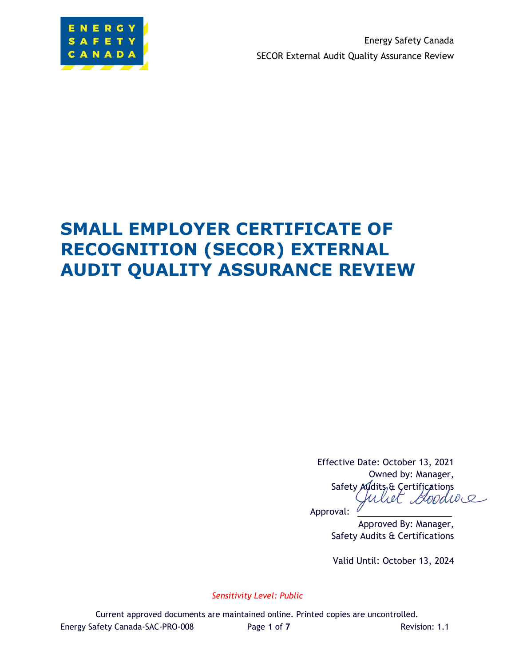

Energy Safety Canada SECOR External Audit Quality Assurance Review

# **SMALL EMPLOYER CERTIFICATE OF RECOGNITION (SECOR) EXTERNAL AUDIT QUALITY ASSURANCE REVIEW**

Effective Date: October 13, 2021 Owned by: Manager, Safety Audits & Certifications<br>Culuit Goodwe Uliet

Approval:

Approved By: Manager, Safety Audits & Certifications

Valid Until: October 13, 2024

*Sensitivity Level: Public*

Current approved documents are maintained online. Printed copies are uncontrolled. Energy Safety Canada-SAC-PRO-008 Page **1** of **7** Revision: 1.1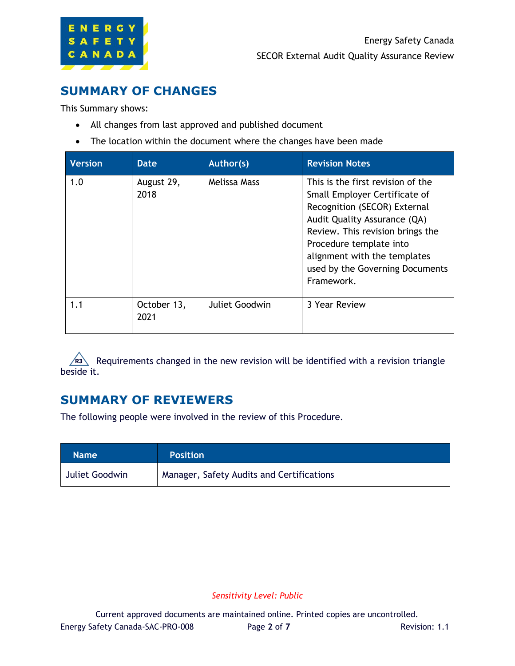

### **SUMMARY OF CHANGES**

This Summary shows:

- All changes from last approved and published document
- The location within the document where the changes have been made

| <b>Version</b> | Date                | Author(s)      | <b>Revision Notes</b>                                                                                                                                                                                                                                                              |
|----------------|---------------------|----------------|------------------------------------------------------------------------------------------------------------------------------------------------------------------------------------------------------------------------------------------------------------------------------------|
| 1.0            | August 29,<br>2018  | Melissa Mass   | This is the first revision of the<br>Small Employer Certificate of<br>Recognition (SECOR) External<br>Audit Quality Assurance (QA)<br>Review. This revision brings the<br>Procedure template into<br>alignment with the templates<br>used by the Governing Documents<br>Framework. |
| 1.1            | October 13,<br>2021 | Juliet Goodwin | 3 Year Review                                                                                                                                                                                                                                                                      |

Requirements changed in the new revision will be identified with a revision triangle beside it.

### **SUMMARY OF REVIEWERS**

The following people were involved in the review of this Procedure.

| <b>Name</b>    | <b>Position</b>                           |
|----------------|-------------------------------------------|
| Juliet Goodwin | Manager, Safety Audits and Certifications |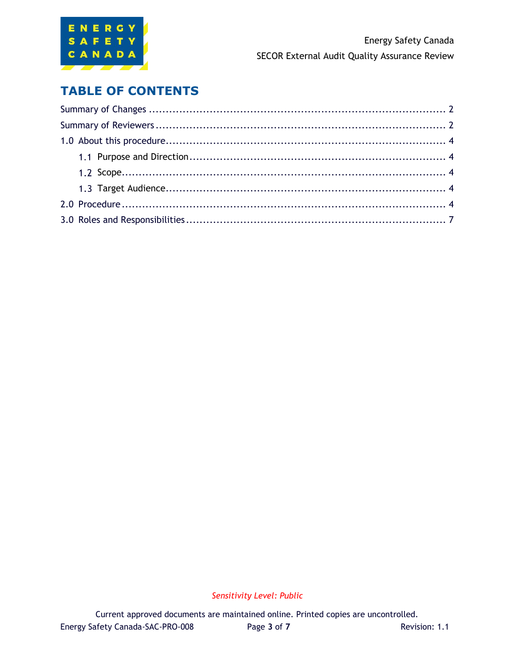

### **TABLE OF CONTENTS**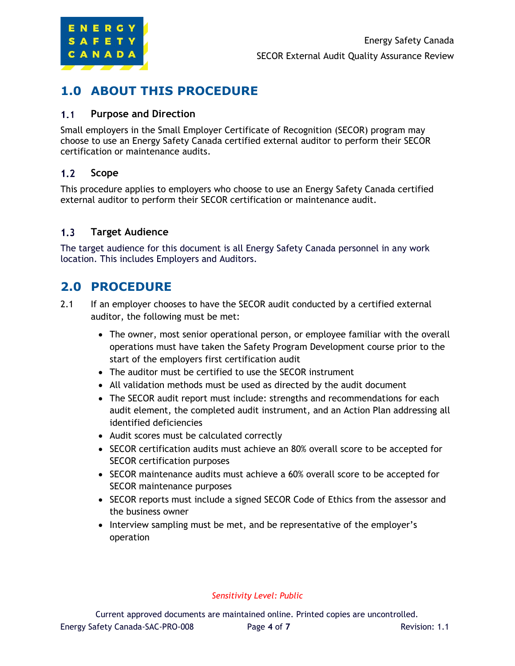

## **1.0 ABOUT THIS PROCEDURE**

#### $1.1$ **Purpose and Direction**

Small employers in the Small Employer Certificate of Recognition (SECOR) program may choose to use an Energy Safety Canada certified external auditor to perform their SECOR certification or maintenance audits.

#### $1.2$ **Scope**

This procedure applies to employers who choose to use an Energy Safety Canada certified external auditor to perform their SECOR certification or maintenance audit.

#### **Target Audience**  $1.3$

The target audience for this document is all Energy Safety Canada personnel in any work location. This includes Employers and Auditors.

### **2.0 PROCEDURE**

- 2.1 If an employer chooses to have the SECOR audit conducted by a certified external auditor, the following must be met:
	- The owner, most senior operational person, or employee familiar with the overall operations must have taken the Safety Program Development course prior to the start of the employers first certification audit
	- The auditor must be certified to use the SECOR instrument
	- All validation methods must be used as directed by the audit document
	- The SECOR audit report must include: strengths and recommendations for each audit element, the completed audit instrument, and an Action Plan addressing all identified deficiencies
	- Audit scores must be calculated correctly
	- SECOR certification audits must achieve an 80% overall score to be accepted for SECOR certification purposes
	- SECOR maintenance audits must achieve a 60% overall score to be accepted for SECOR maintenance purposes
	- SECOR reports must include a signed SECOR Code of Ethics from the assessor and the business owner
	- Interview sampling must be met, and be representative of the employer's operation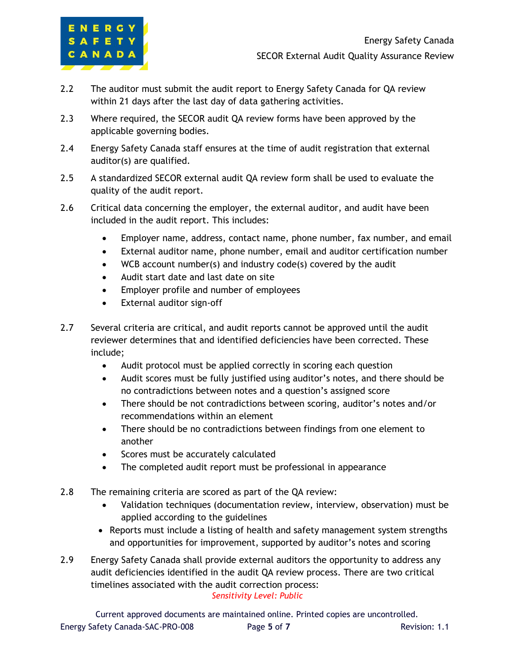

- 2.2 The auditor must submit the audit report to Energy Safety Canada for QA review within 21 days after the last day of data gathering activities.
- 2.3 Where required, the SECOR audit QA review forms have been approved by the applicable governing bodies.
- 2.4 Energy Safety Canada staff ensures at the time of audit registration that external auditor(s) are qualified.
- 2.5 A standardized SECOR external audit QA review form shall be used to evaluate the quality of the audit report.
- 2.6 Critical data concerning the employer, the external auditor, and audit have been included in the audit report. This includes:
	- Employer name, address, contact name, phone number, fax number, and email
	- External auditor name, phone number, email and auditor certification number
	- WCB account number(s) and industry code(s) covered by the audit
	- Audit start date and last date on site
	- Employer profile and number of employees
	- External auditor sign-off
- 2.7 Several criteria are critical, and audit reports cannot be approved until the audit reviewer determines that and identified deficiencies have been corrected. These include;
	- Audit protocol must be applied correctly in scoring each question
	- Audit scores must be fully justified using auditor's notes, and there should be no contradictions between notes and a question's assigned score
	- There should be not contradictions between scoring, auditor's notes and/or recommendations within an element
	- There should be no contradictions between findings from one element to another
	- Scores must be accurately calculated
	- The completed audit report must be professional in appearance
- 2.8 The remaining criteria are scored as part of the QA review:
	- Validation techniques (documentation review, interview, observation) must be applied according to the guidelines
	- Reports must include a listing of health and safety management system strengths and opportunities for improvement, supported by auditor's notes and scoring
- *Sensitivity Level: Public* 2.9 Energy Safety Canada shall provide external auditors the opportunity to address any audit deficiencies identified in the audit QA review process. There are two critical timelines associated with the audit correction process:

Current approved documents are maintained online. Printed copies are uncontrolled. Energy Safety Canada-SAC-PRO-008 Page **5** of **7** Revision: 1.1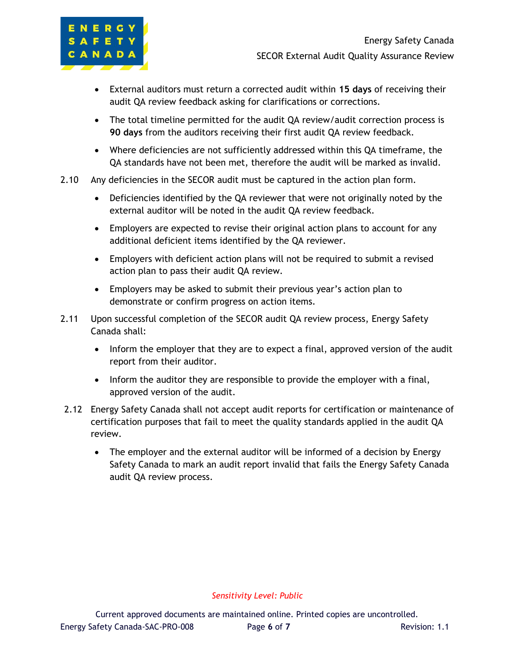

- External auditors must return a corrected audit within **15 days** of receiving their audit QA review feedback asking for clarifications or corrections.
- The total timeline permitted for the audit QA review/audit correction process is **90 days** from the auditors receiving their first audit QA review feedback.
- Where deficiencies are not sufficiently addressed within this QA timeframe, the QA standards have not been met, therefore the audit will be marked as invalid.
- 2.10 Any deficiencies in the SECOR audit must be captured in the action plan form.
	- Deficiencies identified by the QA reviewer that were not originally noted by the external auditor will be noted in the audit QA review feedback.
	- Employers are expected to revise their original action plans to account for any additional deficient items identified by the QA reviewer.
	- Employers with deficient action plans will not be required to submit a revised action plan to pass their audit QA review.
	- Employers may be asked to submit their previous year's action plan to demonstrate or confirm progress on action items.
- 2.11 Upon successful completion of the SECOR audit QA review process, Energy Safety Canada shall:
	- Inform the employer that they are to expect a final, approved version of the audit report from their auditor.
	- Inform the auditor they are responsible to provide the employer with a final, approved version of the audit.
- 2.12 Energy Safety Canada shall not accept audit reports for certification or maintenance of certification purposes that fail to meet the quality standards applied in the audit QA review.
	- The employer and the external auditor will be informed of a decision by Energy Safety Canada to mark an audit report invalid that fails the Energy Safety Canada audit QA review process.